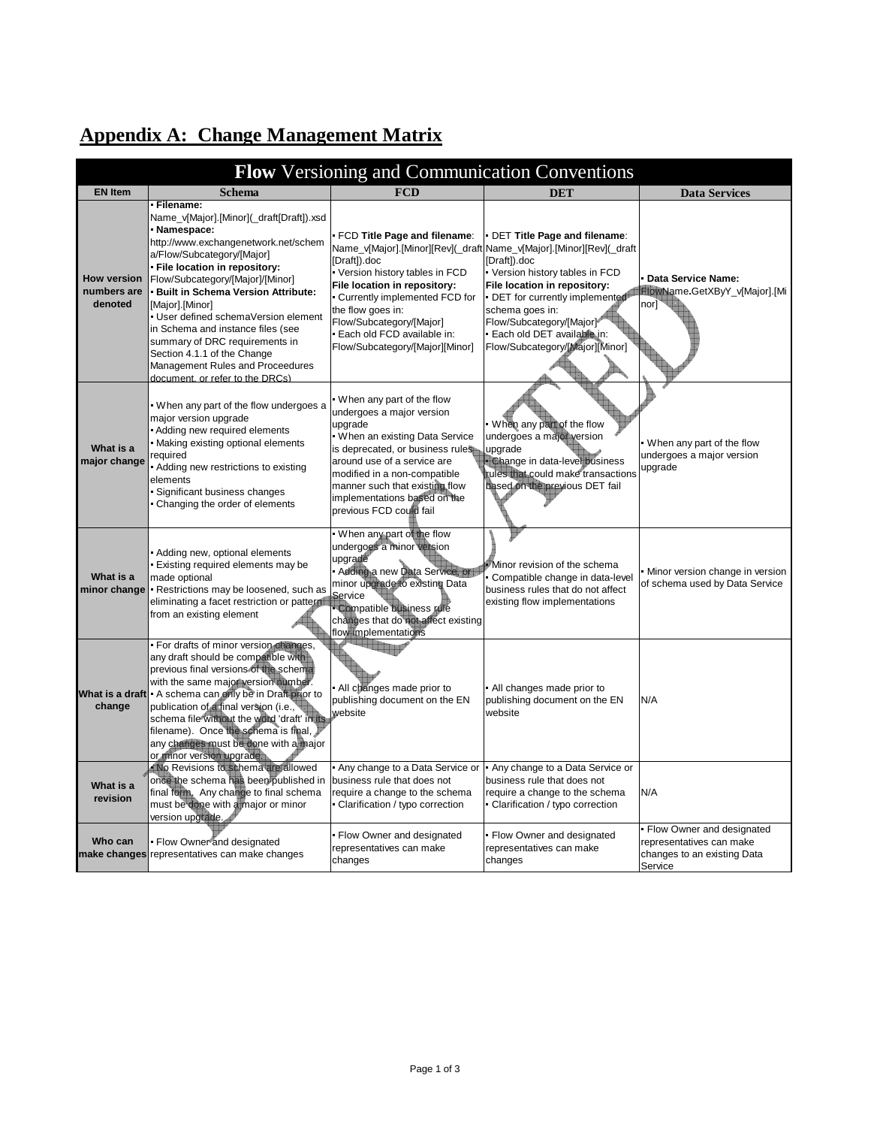| Flow Versioning and Communication Conventions |                                                                                                                                                                                                                                                                                                                                                                                                                                                                                                  |                                                                                                                                                                                                                                                                                                    |                                                                                                                                                                                                                                                                                                                                                    |                                                                                                 |
|-----------------------------------------------|--------------------------------------------------------------------------------------------------------------------------------------------------------------------------------------------------------------------------------------------------------------------------------------------------------------------------------------------------------------------------------------------------------------------------------------------------------------------------------------------------|----------------------------------------------------------------------------------------------------------------------------------------------------------------------------------------------------------------------------------------------------------------------------------------------------|----------------------------------------------------------------------------------------------------------------------------------------------------------------------------------------------------------------------------------------------------------------------------------------------------------------------------------------------------|-------------------------------------------------------------------------------------------------|
| <b>EN Item</b>                                | <b>Schema</b>                                                                                                                                                                                                                                                                                                                                                                                                                                                                                    | <b>FCD</b>                                                                                                                                                                                                                                                                                         | <b>DET</b>                                                                                                                                                                                                                                                                                                                                         | <b>Data Services</b>                                                                            |
| <b>How version</b><br>numbers are<br>denoted  | Filename:<br>Name_v[Major].[Minor](_draft[Draft]).xsd<br>Namespace:<br>http://www.exchangenetwork.net/schem<br>a/Flow/Subcategory/[Major]<br>File location in repository:<br>Flow/Subcategory/[Major]/[Minor]<br><b>Built in Schema Version Attribute:</b><br>[Major].[Minor]<br>User defined schemaVersion element<br>in Schema and instance files (see<br>summary of DRC requirements in<br>Section 4.1.1 of the Change<br>Management Rules and Proceedures<br>document, or refer to the DRCs) | FCD Title Page and filename:<br>[Draft]).doc<br>Version history tables in FCD<br>File location in repository:<br>Currently implemented FCD for<br>the flow goes in:<br>Flow/Subcategory/[Major]<br>Each old FCD available in:<br>Flow/Subcategory/[Major][Minor]                                   | DET Title Page and filename:<br>Name_v[Major].[Minor][Rev](_draft Name_v[Major].[Minor][Rev](_draft<br>[Draft]).doc<br>Version history tables in FCD<br>File location in repository:<br>DET for currently implemented<br>schema goes in:<br>Flow/Subcategory/[Major] <sup>4</sup><br>Each old DET available in:<br>Flow/Subcategory/[Major][Minor] | Data Service Name:<br>FlowName.GetXByY_v[Major].[Mi<br>nor]`                                    |
| What is a<br>major change                     | When any part of the flow undergoes a<br>major version upgrade<br>Adding new required elements<br>Making existing optional elements<br>required<br>Adding new restrictions to existing<br>elements<br>Significant business changes<br>Changing the order of elements                                                                                                                                                                                                                             | When any part of the flow<br>undergoes a major version<br>upgrade<br>When an existing Data Service<br>is deprecated, or business rules<br>around use of a service are<br>modified in a non-compatible<br>manner such that existing flow<br>implementations based on the<br>previous FCD could fail | When any part of the flow<br>undergoes a major version<br>upgrade<br><b>Change in data-level business</b><br>rules that could make transactions<br>based on the previous DET fail                                                                                                                                                                  | When any part of the flow<br>undergoes a major version<br>upgrade                               |
| What is a<br>minor change                     | Adding new, optional elements<br>Existing required elements may be<br>made optional<br>Restrictions may be loosened, such as<br>eliminating a facet restriction or pattern<br>from an existing element                                                                                                                                                                                                                                                                                           | When any part of the flow<br>undergoes a minor version<br>upgrade<br>Adding a new Data Service, or<br>minor upgrade to existing Data<br>Service<br>Compatible business rule<br>changes that do not affect existing<br>flow implementations                                                         | Minor revision of the schema<br>Compatible change in data-level<br>business rules that do not affect<br>existing flow implementations                                                                                                                                                                                                              | Minor version change in version<br>of schema used by Data Service                               |
| change                                        | For drafts of minor version changes,<br>any draft should be compatible with<br>previous final versions of the schema<br>with the same major version number.<br>What is a draft A schema can only be in Draft prior to<br>publication of a final version (i.e.,<br>schema file without the word 'draft' in its<br>filename). Once the schema is final,<br>any changes must be done with a major<br>or minor version upgrade.                                                                      | All changes made prior to<br>publishing document on the EN<br>website                                                                                                                                                                                                                              | All changes made prior to<br>publishing document on the EN<br>website                                                                                                                                                                                                                                                                              | N/A                                                                                             |
| What is a<br>revision                         | No Revisions to schema are allowed<br>once the schema has been published in<br>final form. Any change to final schema<br>must be done with a major or minor<br>version upgrade.                                                                                                                                                                                                                                                                                                                  | Any change to a Data Service or<br>business rule that does not<br>require a change to the schema<br>Clarification / typo correction                                                                                                                                                                | Any change to a Data Service or<br>business rule that does not<br>require a change to the schema<br>Clarification / typo correction                                                                                                                                                                                                                | N/A                                                                                             |
| Who can                                       | Flow Owner and designated<br>make changes representatives can make changes                                                                                                                                                                                                                                                                                                                                                                                                                       | Flow Owner and designated<br>representatives can make<br>changes                                                                                                                                                                                                                                   | Flow Owner and designated<br>representatives can make<br>changes                                                                                                                                                                                                                                                                                   | Flow Owner and designated<br>representatives can make<br>changes to an existing Data<br>Service |

## **Appendix A: Change Management Matrix**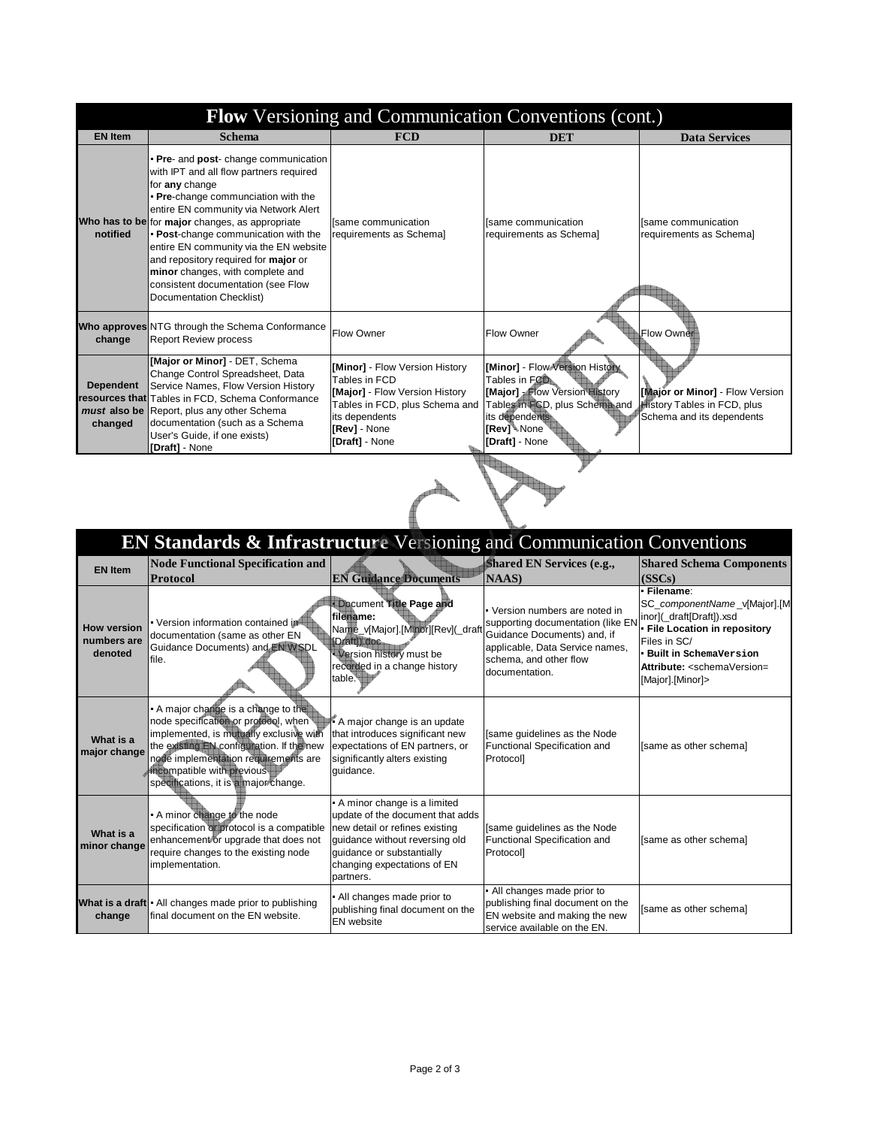| <b>Flow</b> Versioning and Communication Conventions (cont.) |                                                                                                                                                                                                                                                                                                                                                                                                                                                                               |                                                                                                                                                                         |                                                                                                                                                                                           |                                                                                                    |  |
|--------------------------------------------------------------|-------------------------------------------------------------------------------------------------------------------------------------------------------------------------------------------------------------------------------------------------------------------------------------------------------------------------------------------------------------------------------------------------------------------------------------------------------------------------------|-------------------------------------------------------------------------------------------------------------------------------------------------------------------------|-------------------------------------------------------------------------------------------------------------------------------------------------------------------------------------------|----------------------------------------------------------------------------------------------------|--|
| <b>EN Item</b>                                               | <b>Schema</b>                                                                                                                                                                                                                                                                                                                                                                                                                                                                 | <b>FCD</b>                                                                                                                                                              | <b>DET</b>                                                                                                                                                                                | <b>Data Services</b>                                                                               |  |
| notified                                                     | <b>Pre-</b> and <b>post-</b> change communication<br>with IPT and all flow partners required<br>for any change<br>Pre-change communciation with the<br>entire EN community via Network Alert<br>Who has to be for major changes, as appropriate<br>Post-change communication with the<br>entire EN community via the EN website<br>and repository required for major or<br>minor changes, with complete and<br>consistent documentation (see Flow<br>Documentation Checklist) | Isame communication<br>requirements as Schemal                                                                                                                          | Isame communication<br>requirements as Schemal                                                                                                                                            | Isame communication<br>requirements as Schemal                                                     |  |
| change                                                       | Who approves NTG through the Schema Conformance<br><b>Report Review process</b>                                                                                                                                                                                                                                                                                                                                                                                               | Flow Owner                                                                                                                                                              | <b>Flow Owner</b>                                                                                                                                                                         | Flow Owner                                                                                         |  |
| <b>Dependent</b><br>changed                                  | [Major or Minor] - DET, Schema<br>Change Control Spreadsheet, Data<br>Service Names, Flow Version History<br>resources that Tables in FCD, Schema Conformance<br>must also be Report, plus any other Schema<br>documentation (such as a Schema<br>User's Guide, if one exists)<br>[Draft] - None                                                                                                                                                                              | [Minor] - Flow Version History<br>Tables in FCD<br>[Major] - Flow Version History<br>Tables in FCD, plus Schema and<br>its dependents<br>[Rev] - None<br>[Draft] - None | [Minor] - Flow Version History<br>Tables in FOD.<br>[Major] <b>Flow Version History</b><br>Tables in FCD, plus Schema and<br>its dependents.<br>[Rev] <sup>4</sup> None<br>[Draft] - None | [Major or Minor] - Flow Version<br><b>History Tables in FCD, plus</b><br>Schema and its dependents |  |
|                                                              |                                                                                                                                                                                                                                                                                                                                                                                                                                                                               |                                                                                                                                                                         |                                                                                                                                                                                           |                                                                                                    |  |

 $\overrightarrow{C}$ 

|                                              | EN Standards & Infrastructure Versioning and Communication Conventions                                                                                                                                                                                                           |                                                                                                                                                                                                              |                                                                                                                                                                                 |                                                                                                                                                                                                                                       |
|----------------------------------------------|----------------------------------------------------------------------------------------------------------------------------------------------------------------------------------------------------------------------------------------------------------------------------------|--------------------------------------------------------------------------------------------------------------------------------------------------------------------------------------------------------------|---------------------------------------------------------------------------------------------------------------------------------------------------------------------------------|---------------------------------------------------------------------------------------------------------------------------------------------------------------------------------------------------------------------------------------|
| <b>EN Item</b>                               | <b>Node Functional Specification and</b><br><b>Protocol</b>                                                                                                                                                                                                                      | <b>EN Guidance Documents</b>                                                                                                                                                                                 | Shared EN Services (e.g.,<br>NAAS)                                                                                                                                              | <b>Shared Schema Components</b><br>(SSCs)                                                                                                                                                                                             |
| <b>How version</b><br>numbers are<br>denoted | Version information contained in<br>documentation (same as other EN<br>Guidance Documents) and EN WSDL<br>lfile.                                                                                                                                                                 | Document Title Page and<br>filename:<br>Name_v[Major].[Minor][Rev](_draft<br>(Draft) doc<br>Version history must be<br>recorded in a change history<br>table.                                                | Version numbers are noted in<br>supporting documentation (like EN<br>Guidance Documents) and, if<br>applicable, Data Service names,<br>schema, and other flow<br>documentation. | Filename:<br>SC_componentName_v[Major].[M<br>inor](_draft[Draft]).xsd<br><b>File Location in repository</b><br>Files in SC/<br><b>Built in SchemaVersion</b><br>Attribute: <schemaversion=<br>[Major].[Minor]&gt;</schemaversion=<br> |
| What is a<br>major change                    | A major change is a change to the<br>node specification or protocol, when<br>implemented, is mutually exclusive with<br>the existing EN configuration. If the new<br>node implementation requirements are<br>incompatible with previous<br>specifications, it is a major change. | A major change is an update<br>that introduces significant new<br>expectations of EN partners, or<br>significantly alters existing<br>quidance.                                                              | [same quidelines as the Node<br>Functional Specification and<br>Protocol]                                                                                                       | [same as other schema]                                                                                                                                                                                                                |
| What is a<br>minor change                    | A minor change to the node<br>specification or protocol is a compatible<br>enhancement or upgrade that does not<br>require changes to the existing node<br>implementation.                                                                                                       | A minor change is a limited<br>update of the document that adds<br>new detail or refines existing<br>quidance without reversing old<br>quidance or substantially<br>changing expectations of EN<br>partners. | [same guidelines as the Node<br>Functional Specification and<br>Protocol]                                                                                                       | [same as other schema]                                                                                                                                                                                                                |
| change                                       | What is a draft All changes made prior to publishing<br>final document on the EN website.                                                                                                                                                                                        | All changes made prior to<br>publishing final document on the<br><b>EN</b> website                                                                                                                           | All changes made prior to<br>publishing final document on the<br>EN website and making the new<br>service available on the EN.                                                  | [same as other schema]                                                                                                                                                                                                                |